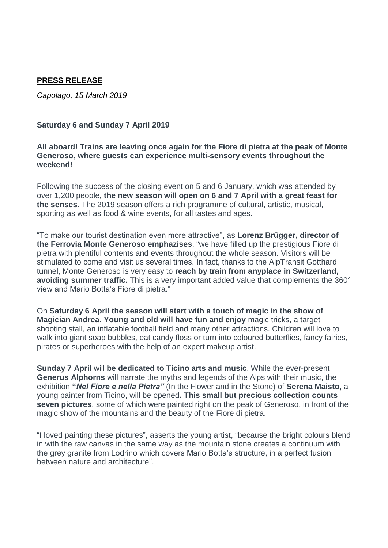# **PRESS RELEASE**

*Capolago, 15 March 2019*

#### **Saturday 6 and Sunday 7 April 2019**

**All aboard! Trains are leaving once again for the Fiore di pietra at the peak of Monte Generoso, where guests can experience multi-sensory events throughout the weekend!**

Following the success of the closing event on 5 and 6 January, which was attended by over 1,200 people, **the new season will open on 6 and 7 April with a great feast for the senses.** The 2019 season offers a rich programme of cultural, artistic, musical, sporting as well as food & wine events, for all tastes and ages.

"To make our tourist destination even more attractive", as **Lorenz Brügger, director of the Ferrovia Monte Generoso emphazises**, "we have filled up the prestigious Fiore di pietra with plentiful contents and events throughout the whole season. Visitors will be stimulated to come and visit us several times. In fact, thanks to the AlpTransit Gotthard tunnel, Monte Generoso is very easy to **reach by train from anyplace in Switzerland, avoiding summer traffic.** This is a very important added value that complements the 360° view and Mario Botta's Fiore di pietra."

On **Saturday 6 April the season will start with a touch of magic in the show of Magician Andrea. Young and old will have fun and enjoy** magic tricks, a target shooting stall, an inflatable football field and many other attractions. Children will love to walk into giant soap bubbles, eat candy floss or turn into coloured butterflies, fancy fairies, pirates or superheroes with the help of an expert makeup artist.

**Sunday 7 April** will **be dedicated to Ticino arts and music**. While the ever-present **Generus Alphorns** will narrate the myths and legends of the Alps with their music, the exhibition **"***Nel Fiore e nella Pietra"* (In the Flower and in the Stone) of **Serena Maisto,** a young painter from Ticino, will be opened**. This small but precious collection counts seven pictures**, some of which were painted right on the peak of Generoso, in front of the magic show of the mountains and the beauty of the Fiore di pietra.

"I loved painting these pictures", asserts the young artist, "because the bright colours blend in with the raw canvas in the same way as the mountain stone creates a continuum with the grey granite from Lodrino which covers Mario Botta's structure, in a perfect fusion between nature and architecture".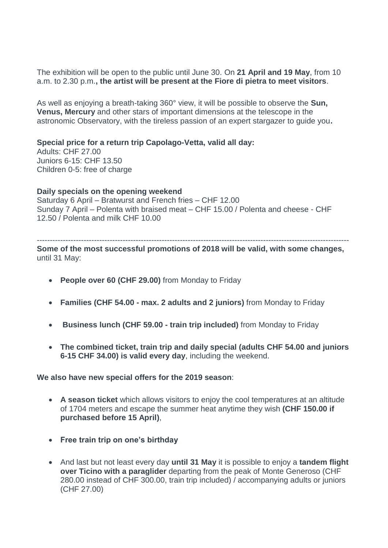The exhibition will be open to the public until June 30. On **21 April and 19 May**, from 10 a.m. to 2.30 p.m.**, the artist will be present at the Fiore di pietra to meet visitors**.

As well as enjoying a breath-taking 360° view, it will be possible to observe the **Sun, Venus, Mercury** and other stars of important dimensions at the telescope in the astronomic Observatory, with the tireless passion of an expert stargazer to guide you**.**

**Special price for a return trip Capolago-Vetta, valid all day:**

Adults: CHF 27.00 Juniors 6-15: CHF 13.50 Children 0-5: free of charge

**Daily specials on the opening weekend** 

Saturday 6 April – Bratwurst and French fries – CHF 12.00 Sunday 7 April – Polenta with braised meat – CHF 15.00 / Polenta and cheese - CHF 12.50 / Polenta and milk CHF 10.00

------------------------------------------------------------------------------------------------------------------------ **Some of the most successful promotions of 2018 will be valid, with some changes,** until 31 May:

- **People over 60 (CHF 29.00)** from Monday to Friday
- **Families (CHF 54.00 - max. 2 adults and 2 juniors)** from Monday to Friday
- **Business lunch (CHF 59.00 - train trip included)** from Monday to Friday
- **The combined ticket, train trip and daily special (adults CHF 54.00 and juniors 6-15 CHF 34.00) is valid every day**, including the weekend.

# **We also have new special offers for the 2019 season**:

- **A season ticket** which allows visitors to enjoy the cool temperatures at an altitude of 1704 meters and escape the summer heat anytime they wish **(CHF 150.00 if purchased before 15 April)**,
- **Free train trip on one's birthday**
- And last but not least every day **until 31 May** it is possible to enjoy a **tandem flight over Ticino with a paraglider** departing from the peak of Monte Generoso (CHF 280.00 instead of CHF 300.00, train trip included) / accompanying adults or juniors (CHF 27.00)